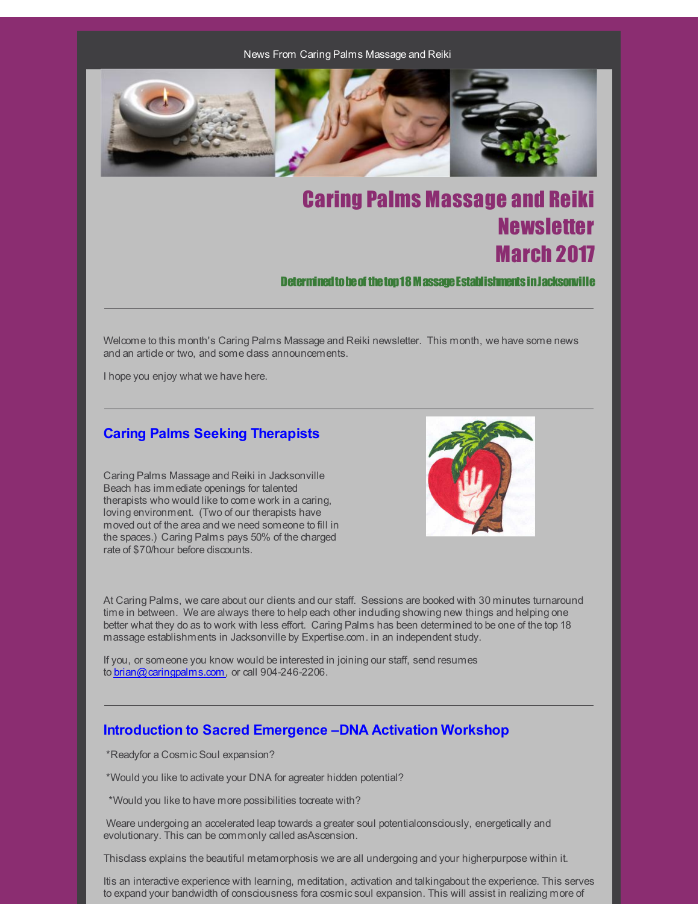News From Caring Palms Massage and Reiki



# Caring Palms Massage and Reiki **Newsletter** March 2017

Determined to be of the top 18 M assage Establishments in Jacksonville

Welcome to this month's Caring Palms Massage and Reiki newsletter. This month, we have some news and an article or two, and some class announcements.

I hope you enjoy what we have here.

### **Caring Palms Seeking Therapists**

Caring Palms Massage and Reiki in Jacksonville Beach has immediate openings for talented therapists who would like to come work in a caring, loving environment. (Two of our therapists have moved out of the area and we need someone to fill in the spaces.) Caring Palms pays 50% of the charged rate of \$70/hour before discounts.



At Caring Palms, we care about our clients and our staff. Sessions are booked with 30 minutes turnaround time in between. We are always there to help each other induding showing new things and helping one better what they do as to work with less effort. Caring Palms has been determined to be one of the top 18 massage establishments in Jacksonville by Expertise.com. in an independent study.

If you, or someone you know would be interested in joining our staff, send resumes to [brian@caringpalms.com](mailto:brian@caringpalms.com), or call 904-246-2206.

### **Introduction to Sacred Emergence –DNA Activation Workshop**

\*Readyfor a Cosmic Soul expansion?

\*Would you like to activate your DNA for agreater hidden potential?

\*Would you like to have more possibilities tocreate with?

Weare undergoing an accelerated leap towards a greater soul potentialconsciously, energetically and evolutionary. This can be commonly called asAscension.

Thisclass explains the beautiful metamorphosis we are all undergoing and your higherpurpose within it.

Itis an interactive experience with learning, meditation, activation and talkingabout the experience. This serves to expand your bandwidth of consciousness fora cosmicsoul expansion. This will assist in realizing more of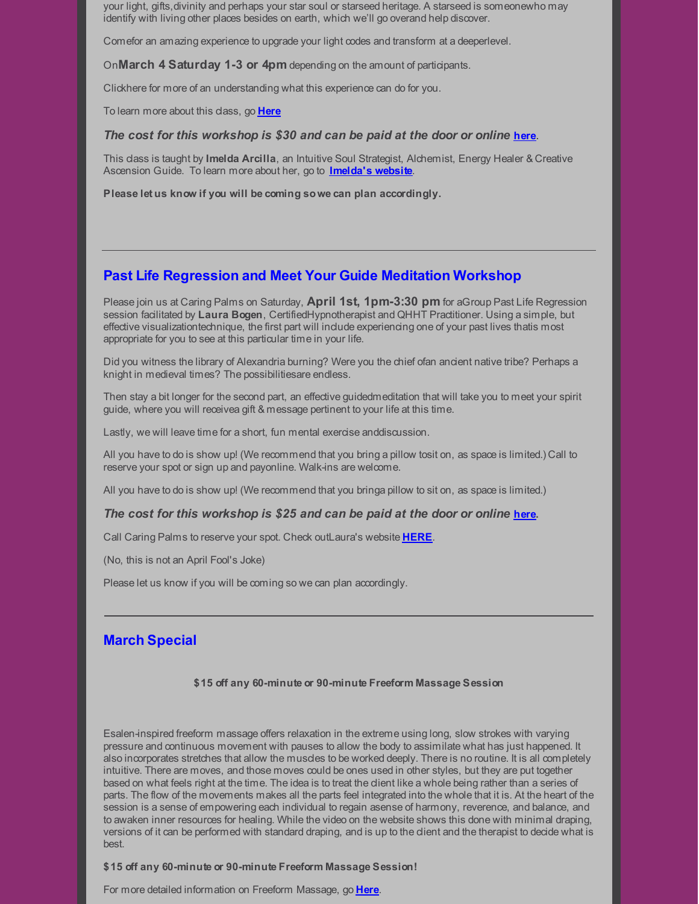your light, gifts,divinity and perhaps your star soul or starseed heritage. A starseed is someonewho may identify with living other places besides on earth, which we'll go overand help discover.

Comefor an amazing experience to upgrade your light codes and transform at a deeperlevel.

On**March 4 Saturday 1-3 or 4pm** depending on the amount of participants.

Clickhere for more of an understanding what this experience can do for you.

To learn more about this class, go **[Here](http://r20.rs6.net/tn.jsp?f=001CfRxCTirCvqtAaR_dWkcKgfgBmiJ9l9QMrFent0hiKfXTZn-1l0uQbBJm5js0e3rr3OY3WNp1rXDgvUaAIhH4wX3bVxS_C4xKXBP9vgttxw2kg1HL3xU5U2aSimm040XdzyZIUscEcN6DUOkhuI2RiA3gXtH7qDcqSSJAv50O6iI8QcW6QRcdg==&c=&ch=)**

#### *The cost for this workshop is \$30 and can be paid at the door or online* **[here](http://r20.rs6.net/tn.jsp?f=001CfRxCTirCvqtAaR_dWkcKgfgBmiJ9l9QMrFent0hiKfXTZn-1l0uQSMANnnCHR3hbmQ6fBpGMQjP1FiVN-WX4RlxXsmOs2vZzuuvI8E1HEaJyBo4F3_O3twzEeADH0XdHa-TGRC93rKVLVz8yB1uTXC_NCB5odLJLGJFnGTQQ1uafTApx3tntKsKGuLT96I4LJ3g9Mw9ZIFh8H8u6oMfFjKvIMhNe2J6RSCDcyJcHkOvi3uXHa7iEreavRee7Gng0HZOsBjjACE=&c=&ch=)**.

This class is taught by **Imelda Arcilla**, an Intuitive Soul Strategist, Alchemist, Energy Healer & Creative Ascension Guide. To learn more about her, go to **[Imelda's](http://r20.rs6.net/tn.jsp?f=001CfRxCTirCvqtAaR_dWkcKgfgBmiJ9l9QMrFent0hiKfXTZn-1l0uQbBJm5js0e3rk7CocRvnG1HNYq_mBaLITLwuefE8mg_nfDS-GXu7CpXok6AJSqWKuKKrRJMe-JlT_myKsQONr2A4k9S-Bj9HSQ==&c=&ch=) website**.

**Please let us know if you will be coming sowe can plan accordingly.**

### **Past Life Regression and Meet Your Guide Meditation Workshop**

Please join us at Caring Palms on Saturday, **April 1st, 1pm-3:30 pm** for aGroup Past Life Regression session facilitated by **Laura Bogen**, CertifiedHypnotherapist and QHHT Practitioner. Using a simple, but effective visualizationtechnique, the first part will include experiencing one of your past lives thatis most appropriate for you to see at this particular time in your life.

Did you witness the library of Alexandria burning? Were you the chief ofan ancient native tribe? Perhaps a knight in medieval times? The possibilitiesare endless.

Then stay a bit longer for the second part, an effective guidedmeditation that will take you to meet your spirit guide, where you will receivea gift & message pertinent to your life at this time.

Lastly, we will leave time for a short, fun mental exercise anddiscussion.

All you have to do is show up! (We recommend that you bring a pillow tosit on, as space is limited.) Call to reserve your spot or sign up and payonline. Walk-ins are welcome.

All you have to do is show up! (We recommend that you bringa pillow to sit on, as space is limited.)

#### *The cost for this workshop is \$25 and can be paid at the door or online* **[here](http://r20.rs6.net/tn.jsp?f=001CfRxCTirCvqtAaR_dWkcKgfgBmiJ9l9QMrFent0hiKfXTZn-1l0uQSMANnnCHR3hoA4VcdjK3OIp8-q6EA1K1CApGxip8Re6wtGCyuHFKPD-31dZ4apTQscEegQNiBat59d--Q-U2a4nZC578REyYZBk3nG4V0I__aJ6nC2xlPhOQ2C00TrYd04PBCoeczicaZ7Q7jfM4cDScV3CIMXO-D0kwnjTq5nT&c=&ch=).**

Call Caring Palms to reserve your spot. Check outLaura's website **[HERE](http://r20.rs6.net/tn.jsp?f=001CfRxCTirCvqtAaR_dWkcKgfgBmiJ9l9QMrFent0hiKfXTZn-1l0uQWXOUt6D0vBwEUwD-vgF8-9uNBKTDruAI52XXk9bBEWwXucEDsIFwzXyH8uhYkG5h-eeBlawWxU0oYqntLBd1f5208NjKfgu1pv2bZbPKCN4&c=&ch=)**.

(No, this is not an April Fool's Joke)

Please let us know if you will be coming so we can plan accordingly.

### **March Special**

#### **\$15 off any 60-minute or 90-minute Freeform Massage Session**

Esalen-inspired freeform massage offers relaxation in the extreme using long, slow strokes with varying pressure and continuous movement with pauses to allow the body to assimilate what has just happened. It also incorporates stretches that allow the muscles to be worked deeply. There is no routine. It is all completely intuitive. There are moves, and those moves could be ones used in other styles, but they are put together based on what feels right at the time. The idea is to treat the client like a whole being rather than a series of parts. The flow of the movements makes all the parts feel integrated into the whole that it is. At the heart of the session is a sense of empowering each individual to regain asense of harmony, reverence, and balance, and to awaken inner resources for healing. While the video on the website shows this done with minimal draping, versions of it can be performed with standard draping, and is up to the client and the therapist to decide what is best.

#### **\$15 off any 60-minute or 90-minute Freeform Massage Session!**

For more detailed information on Freeform Massage, go **[Here](http://r20.rs6.net/tn.jsp?f=001CfRxCTirCvqtAaR_dWkcKgfgBmiJ9l9QMrFent0hiKfXTZn-1l0uQZkRCNXpMzWoEa_kTypegy0DuzHD51Mq45oDGpVebadZS0xejJDuzNmnvlmzP40j-sbUtFIdSLInhuFzFEMSETJ16xaCz0gffFjFpMjmgYiRi-PQS9JUVwKUktCFfJnh8Q==&c=&ch=)**.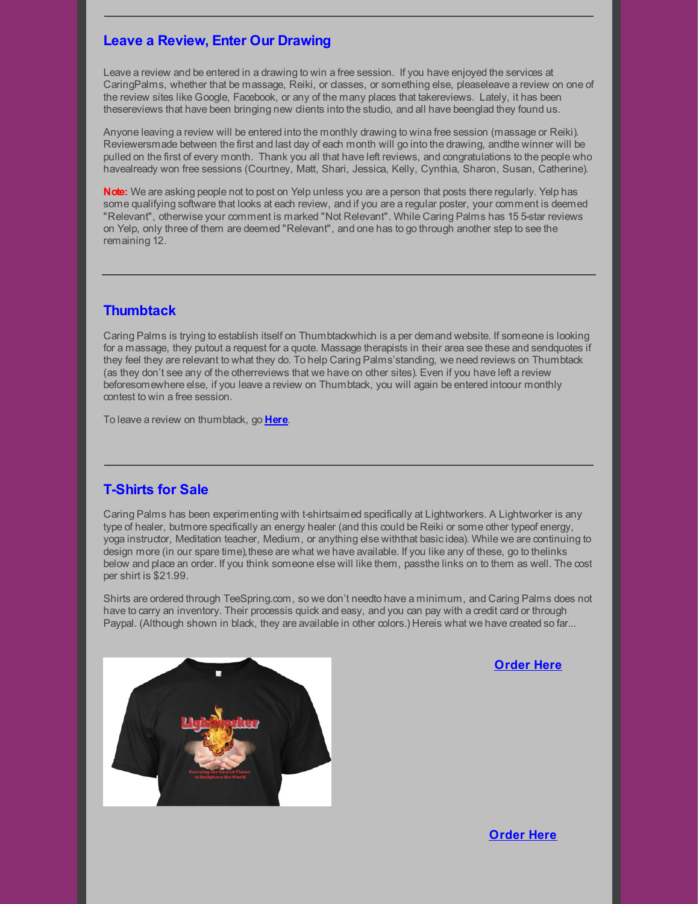# **Leave a Review, Enter Our Drawing**

Leave a review and be entered in a drawing to win a free session. If you have enjoyed the services at CaringPalms, whether that be massage, Reiki, or classes, or something else, pleaseleave a review on one of the review sites like Google, Facebook, or any of the many places that takereviews. Lately, it has been thesereviews that have been bringing new clients into the studio, and all have beenglad they found us.

Anyone leaving a review will be entered into the monthly drawing to wina free session (massage or Reiki). Reviewersmade between the first and last day of each month will go into the drawing, andthe winner will be pulled on the first of every month. Thank you all that have left reviews, and congratulations to the people who havealready won free sessions (Courtney, Matt, Shari, Jessica, Kelly, Cynthia, Sharon, Susan, Catherine).

**Note:** We are asking people not to post on Yelp unless you are a person that posts there regularly. Yelp has some qualifying software that looks at each review, and if you are a regular poster, your comment is deemed "Relevant", otherwise your comment is marked "Not Relevant". While Caring Palms has 15 5-star reviews on Yelp, only three of them are deemed "Relevant", and one has to go through another step to see the remaining 12.

# **Thumbtack**

Caring Palms is trying to establish itself on Thumbtackwhich is a per demand website. If someone is looking for a massage, they putout a request for a quote. Massage therapists in their area see these and sendquotes if they feel they are relevant to what they do. To help Caring Palms'standing, we need reviews on Thumbtack (as they don't see any of the otherreviews that we have on other sites). Even if you have left a review beforesomewhere else, if you leave a review on Thumbtack, you will again be entered intoour monthly contest to win a free session.

To leave a review on thumbtack, go **[Here](http://r20.rs6.net/tn.jsp?f=001CfRxCTirCvqtAaR_dWkcKgfgBmiJ9l9QMrFent0hiKfXTZn-1l0uQSMANnnCHR3hMUV-rQu53K4K9fGJOyAH2pM2tg49ehmJ_qhpeURJDaezcGaTNGqZQXNd9xGWwxfvXoxrNDR31fNPfhiHJ2cEDA==&c=&ch=)**.

# **T-Shirts for Sale**

Caring Palms has been experimenting with t-shirtsaimed specifically at Lightworkers. A Lightworker is any type of healer, butmore specifically an energy healer (and this could be Reiki or some other typeof energy, yoga instructor, Meditation teacher, Medium, or anything else withthat basicidea). While we are continuing to design more (in our spare time), these are what we have available. If you like any of these, go to thelinks below and place an order. If you think someone else will like them, passthe links on to them as well. The cost per shirt is \$21.99.

Shirts are ordered through TeeSpring.com, so we don't needto have a minimum, and Caring Palms does not have to carry an inventory. Their processis quick and easy, and you can pay with a credit card or through Paypal. (Although shown in black, they are available in other colors.) Hereis what we have created so far...



**[Order](http://r20.rs6.net/tn.jsp?f=001CfRxCTirCvqtAaR_dWkcKgfgBmiJ9l9QMrFent0hiKfXTZn-1l0uQSMANnnCHR3h2zGmPmDlK9b_qHWYNiL-XZCR5J9Wu_63cUq3KDKFsvhiEM152p06uVM8KUcBJcrtQD8Dkux3n74fIlRL1A7hZR5bruni-Z5mDPSg0u89Mgtx3bgrOABjCOcFKa9481EIFlbXjsjI8-4G4nF_wge_rZ4vvFkWVtWW&c=&ch=) Here**

**[Order](http://r20.rs6.net/tn.jsp?f=001CfRxCTirCvqtAaR_dWkcKgfgBmiJ9l9QMrFent0hiKfXTZn-1l0uQSMANnnCHR3hKtoL-UEbATSvaVjE-9j4DSV8_OZx7TKmsavo1zSUW1hwI6C_2q3F2sbXe9I6XoZn7KPlVpl7zwsEKGVIUU7TmHEIPugBhWmf4Gmk-Sy67xH2jzQrb-i44I9aLQrdBfPvNa26UIJ3mV7o0kVNfUTdfnvfcen8SJja&c=&ch=) Here**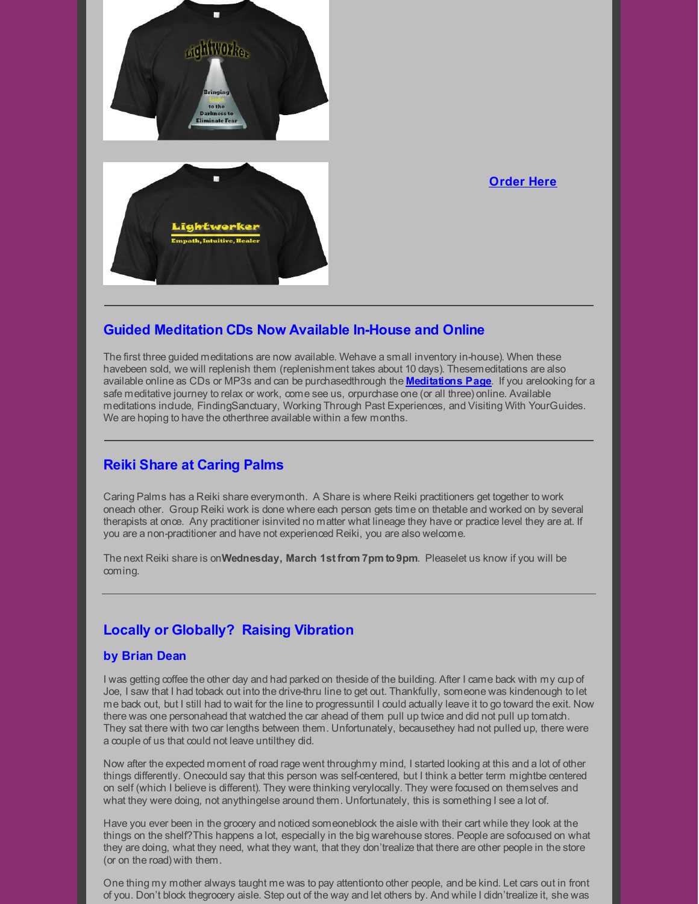

### **[Order](http://r20.rs6.net/tn.jsp?f=001CfRxCTirCvqtAaR_dWkcKgfgBmiJ9l9QMrFent0hiKfXTZn-1l0uQSMANnnCHR3hWmhFsYwV2RRX-UcGE7cVkJvBQ7dtFhNxqHN0zkUKDj4NmYMGUXCIJcMocLFfXb1oMl3w3ih-G1MsdFCJWx-FQZsNFt43r0iWp0mj6DdXTas5JXKWwmpDbQzsEqgI1RfmOLtZwTVmrtLtZHVu_dbxtXeOElYfxbqH&c=&ch=) Here**

# **Guided Meditation CDs Now Available In-House and Online**

The first three guided meditations are now available. Wehave a small inventory in-house). When these havebeen sold, we will replenish them (replenishment takes about 10 days). Thesemeditations are also available online as CDs or MP3s and can be purchasedthrough the **[Meditations](http://r20.rs6.net/tn.jsp?f=001CfRxCTirCvqtAaR_dWkcKgfgBmiJ9l9QMrFent0hiKfXTZn-1l0uQWXOUt6D0vBw6eS7h4S8m2v2GkMUgH2LAUfVZ59X2nXUPg4EOO1R9fAMlcChYHfLU1jzuNWiVf8jFQarClFkQ2Vv9O-suzKKKuvIrybN2yknfQO30FYv60E=&c=&ch=) Page**. If you arelooking for a safe meditative journey to relax or work, come see us, orpurchase one (or all three) online. Available meditations include, FindingSanctuary, Working Through Past Experiences, and Visiting With YourGuides. We are hoping to have the otherthree available within a few months.

# **Reiki Share at Caring Palms**

Caring Palms has a Reiki share everymonth. A Share is where Reiki practitioners get together to work oneach other. Group Reiki work is done where each person gets time on thetable and worked on by several therapists at once. Any practitioner isinvited no matter what lineage they have or practice level they are at. If you are a non-practitioner and have not experienced Reiki, you are also welcome.

The next Reiki share is on**Wednesday, March 1st from 7pm to9pm**. Pleaselet us know if you will be coming.

# **Locally or Globally? Raising Vibration**

### **by Brian Dean**

I was getting coffee the other day and had parked on theside of the building. After I came back with my cup of Joe, I saw that I had toback out into the drive-thru line to get out. Thankfully, someone was kindenough to let me back out, but I still had to wait for the line to progressuntil I could actually leave it to go toward the exit. Now there was one personahead that watched the car ahead of them pull up twice and did not pull up tomatch. They sat there with two car lengths between them. Unfortunately, becausethey had not pulled up, there were a couple of us that could not leave untilthey did.

Now after the expected moment of road rage went throughmy mind, I started looking at this and a lot of other things differently. Onecould say that this person was self-centered, but I think a better term mightbe centered on self (which I believe is different). They were thinking verylocally. They were focused on themselves and what they were doing, not anythingelse around them. Unfortunately, this is something I see a lot of.

Have you ever been in the grocery and noticed someoneblock the aisle with their cart while they look at the things on the shelf?This happens a lot, especially in the big warehouse stores. People are sofocused on what they are doing, what they need, what they want, that they don'trealize that there are other people in the store (or on the road) with them.

One thing my mother always taught me was to pay attentionto other people, and be kind. Let cars out in front of you. Don't block thegrocery aisle. Step out of the way and let others by. And while I didn'trealize it, she was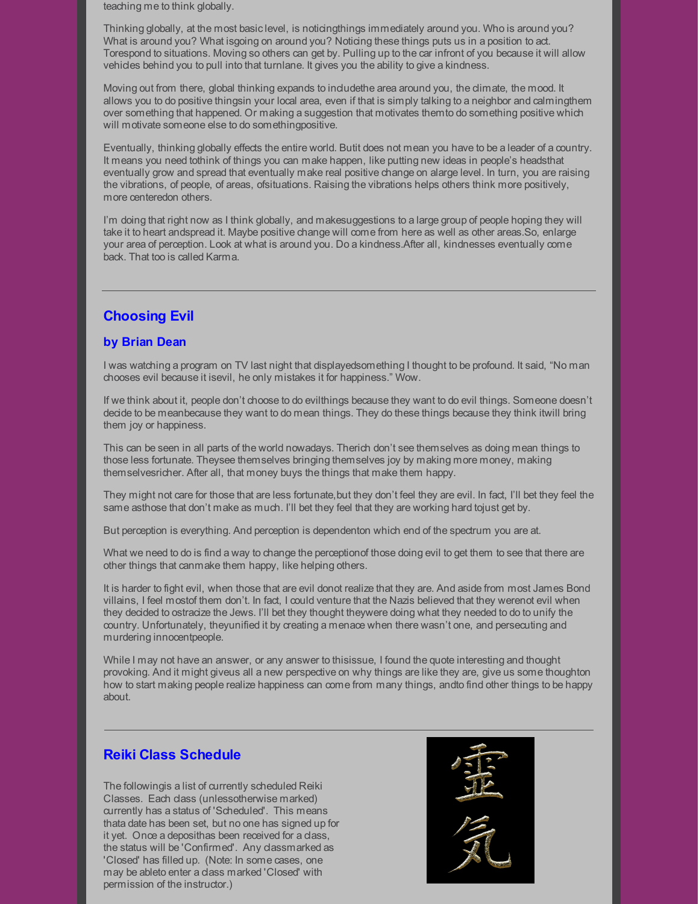teaching me to think globally.

Thinking globally, at the most basiclevel, is noticingthings immediately around you. Who is around you? What is around you? What isgoing on around you? Noticing these things puts us in a position to act. Torespond to situations. Moving so others can get by. Pulling up to the car infront of you because it will allow vehicles behind you to pull into that turnlane. It gives you the ability to give a kindness.

Moving out from there, global thinking expands to indudethe area around you, the climate, the mood. It allows you to do positive thingsin your local area, even if that is simply talking to a neighbor and calmingthem over something that happened. Or making a suggestion that motivates themto do something positive which will motivate someone else to do somethingpositive.

Eventually, thinking globally effects the entire world. Butit does not mean you have to be a leader of a country. It means you need tothink of things you can make happen, like putting new ideas in people's headsthat eventually grow and spread that eventually make real positive change on alarge level. In turn, you are raising the vibrations, of people, of areas, ofsituations. Raising the vibrations helps others think more positively, more centeredon others.

I'm doing that right now as I think globally, and makesuggestions to a large group of people hoping they will take it to heart andspread it. Maybe positive change will come from here as well as other areas.So, enlarge your area of perception. Look at what is around you. Do a kindness.After all, kindnesses eventually come back. That too is called Karma.

### **Choosing Evil**

#### **by Brian Dean**

I was watching a program on TV last night that displayedsomething I thought to be profound. It said, "No man chooses evil because it isevil, he only mistakes it for happiness." Wow.

If we think about it, people don't choose to do evilthings because they want to do evil things. Someone doesn't decide to be meanbecause they want to do mean things. They do these things because they think itwill bring them joy or happiness.

This can be seen in all parts of the world nowadays. Therich don't see themselves as doing mean things to those less fortunate. Theysee themselves bringing themselves joy by making more money, making themselvesricher. After all, that money buys the things that make them happy.

They might not care for those that are less fortunate, but they don't feel they are evil. In fact, I'll bet they feel the same asthose that don't make as much. I'll bet they feel that they are working hard tojust get by.

But perception is everything. And perception is dependenton which end of the spectrum you are at.

What we need to do is find a way to change the perceptionof those doing evil to get them to see that there are other things that canmake them happy, like helping others.

It is harder to fight evil, when those that are evil donot realize that they are. And aside from most James Bond villains, I feel mostof them don't. In fact, I could venture that the Nazis believed that they werenot evil when they decided to ostracize the Jews. I'll bet they thought theywere doing what they needed to do to unify the country. Unfortunately, theyunified it by creating a menace when there wasn't one, and persecuting and murdering innocentpeople.

While I may not have an answer, or any answer to thisissue, I found the quote interesting and thought provoking. And it might giveus all a new perspective on why things are like they are, give us some thoughton how to start making people realize happiness can come from many things, andto find other things to be happy about.

### **Reiki Class Schedule**

The followingis a list of currently scheduled Reiki Classes. Each class (unlessotherwise marked) currently has a status of 'Scheduled'. This means thata date has been set, but no one has signed up for it yet. Once a deposithas been received for a class, the status will be 'Confirmed'. Any classmarked as 'Closed' has filled up. (Note: In some cases, one may be ableto enter a class marked 'Closed' with permission of the instructor.)

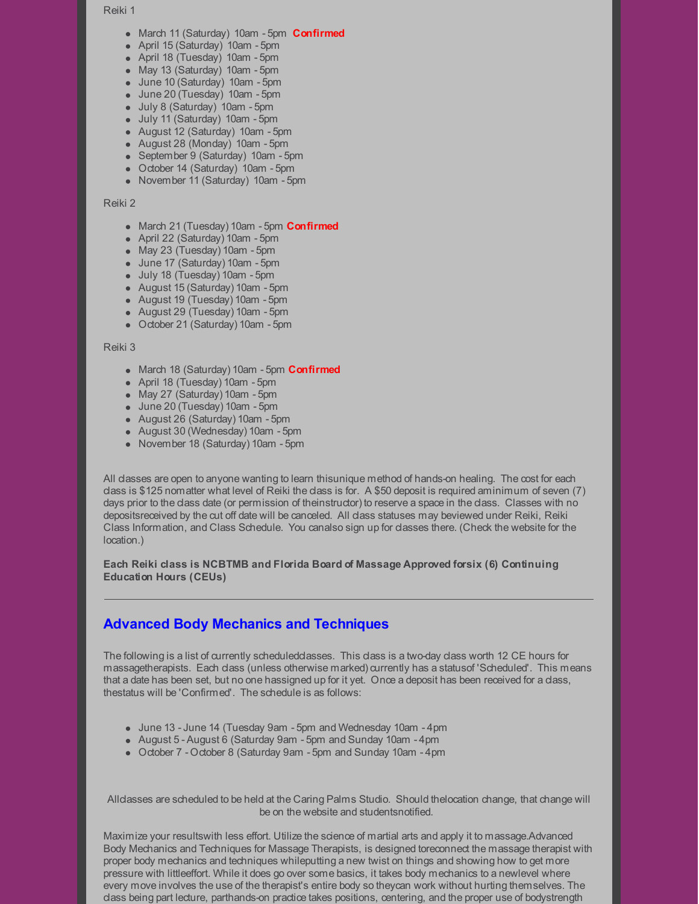#### Reiki 1

- March 11 (Saturday) 10am 5pm **Confirmed**
- April 15 (Saturday) 10am 5pm
- April 18 (Tuesday) 10am 5pm
- May 13 (Saturday) 10am 5pm
- June 10 (Saturday) 10am 5pm
- June 20 (Tuesday) 10am 5pm
- July 8 (Saturday) 10am 5pm
- July 11 (Saturday) 10am 5pm
- August 12 (Saturday) 10am 5pm
- August 28 (Monday) 10am 5pm
- September 9 (Saturday) 10am 5pm
- October 14 (Saturday) 10am 5pm
- November 11 (Saturday) 10am 5pm

#### Reiki 2

- March 21 (Tuesday) 10am 5pm **Confirmed**
- April 22 (Saturday) 10am 5pm
- May 23 (Tuesday) 10am 5pm
- June 17 (Saturday) 10am 5pm
- July 18 (Tuesday) 10am 5pm
- August 15 (Saturday) 10am 5pm
- August 19 (Tuesday) 10am 5pm
- August 29 (Tuesday) 10am 5pm
- October 21 (Saturday) 10am 5pm

#### Reiki 3

- March 18 (Saturday) 10am 5pm **Confirmed**
- April 18 (Tuesday) 10am 5pm
- May 27 (Saturday) 10am 5pm
- June 20 (Tuesday) 10am 5pm
- August 26 (Saturday) 10am 5pm
- August 30 (Wednesday) 10am 5pm
- November 18 (Saturday) 10am 5pm

All classes are open to anyone wanting to learn thisunique method of hands-on healing. The cost for each class is \$125 nomatter what level of Reiki the class is for. A \$50 deposit is required aminimum of seven (7) days prior to the class date (or permission of theinstructor) to reserve a space in the class. Classes with no depositsreceived by the cut off date will be canceled. All class statuses may beviewed under Reiki, Reiki Class Information, and Class Schedule. You canalso sign up for classes there. (Check the website for the location.)

**Each Reiki class is NCBTMB and Florida Board of Massage Approved forsix (6) Continuing Education Hours (CEUs)**

# **Advanced Body Mechanics and Techniques**

The following is a list of currently scheduled dasses. This class is a two-day class worth 12 CE hours for massagetherapists. Each class (unless otherwise marked) currently has a statusof 'Scheduled'. This means that a date has been set, but no one hassigned up for it yet. Once a deposit has been received for a class, thestatus will be 'Confirmed'. The schedule is as follows:

- June 13 -June 14 (Tuesday 9am 5pm and Wednesday 10am 4pm
- August 5 August 6 (Saturday 9am 5pm and Sunday 10am 4pm
- October 7 October 8 (Saturday 9am 5pm and Sunday 10am 4pm

Alldasses are scheduled to be held at the Caring Palms Studio. Should thelocation change, that change will be on the website and studentsnotified.

Maximize your resultswith less effort. Utilize the science of martial arts and apply it to massage.Advanced Body Mechanics and Techniques for Massage Therapists, is designed toreconnect the massage therapist with proper body mechanics and techniques whileputting a new twist on things and showing how to get more pressure with littleeffort. While it does go over some basics, it takes body mechanics to a newlevel where every move involves the use of the therapist's entire body so theycan work without hurting themselves. The class being part lecture, parthands-on practice takes positions, centering, and the proper use of bodystrength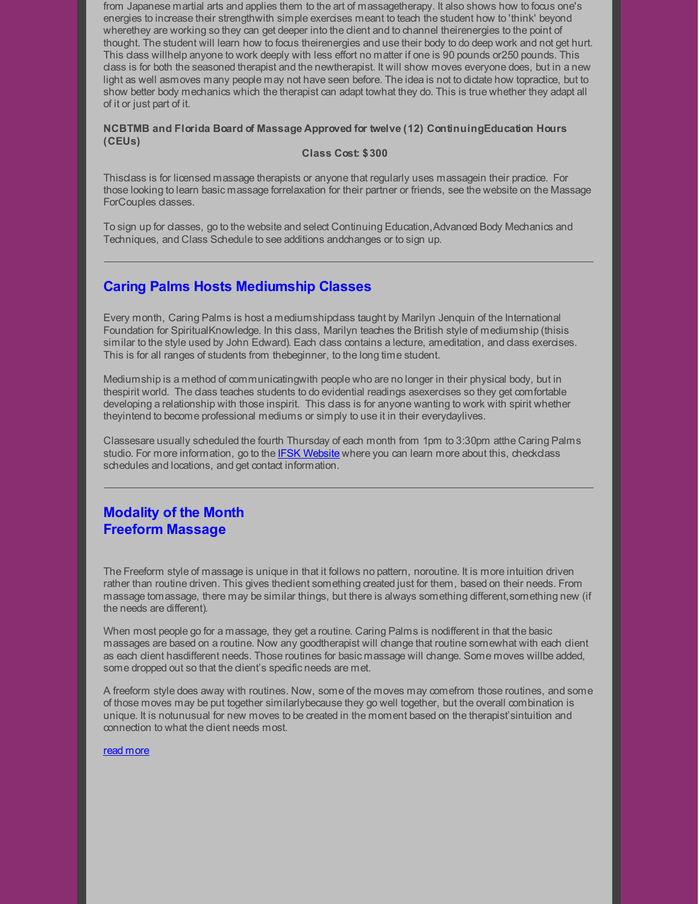from Japanese martial arts and applies them to the art of massagetherapy. It also shows how to focus one's energies to increase their strengthwith simple exercises meant to teach the student how to 'think' beyond wherethey are working so they can get deeper into the client and to channel theirenergies to the point of thought. The student will learn how to focus theirenergies and use their body to do deep work and not get hurt. This dass willhelp anyone to work deeply with less effort no matter if one is 90 pounds or250 pounds. This class is for both the seasoned therapist and the newtherapist. It will show moves everyone does, but in a new light as well asmoves many people may not have seen before. The idea is not to dictate how topractice, but to show better body mechanics which the therapist can adapt towhat they do. This is true whether they adapt all of it or just part of it.

#### **NCBTMB and Florida Board of Massage Approved for twelve (12) ContinuingEducation Hours (CEUs)**

#### **Class Cost: \$300**

Thisclass is for licensed massage therapists or anyone that regularly uses massagein their practice. For those looking to learn basic massage forrelaxation for their partner or friends, see the website on the Massage ForCouples classes.

To sign up for classes, go to the website and select Continuing Education,Advanced Body Mechanics and Techniques, and Class Schedule to see additions andchanges or to sign up.

# **Caring Palms Hosts Mediumship Classes**

Every month, Caring Palms is host a mediumshipclass taught by Marilyn Jenquin of the International Foundation for SpiritualKnowledge. In this class, Marilyn teaches the British style of mediumship (thisis similar to the style used by John Edward). Each class contains a lecture, ameditation, and class exercises. This is for all ranges of students from thebeginner, to the long time student.

Mediumship is a method of communicatingwith people who are no longer in their physical body, but in thespirit world. The class teaches students to do evidential readings asexercises so they get comfortable developing a relationship with those inspirit. This class is for anyone wanting to work with spirit whether theyintend to become professional mediums or simply to use it in their everydaylives.

Classesare usually scheduled the fourth Thursday of each month from 1pm to 3:30pm atthe Caring Palms studio. For more information, go to the IFSK [Website](http://r20.rs6.net/tn.jsp?f=001CfRxCTirCvqtAaR_dWkcKgfgBmiJ9l9QMrFent0hiKfXTZn-1l0uQbH9e3gRZAOpicU-cIKjHWIgdo8aZjzqWFlkMDygUPtgNE0JfTMD_2ORQjxA19VI7hIyfKgTdNVOBna9ZvoJkUwDI8rQryy3vQ==&c=&ch=) where you can learn more about this, checkclass schedules and locations, and get contact information.

# **Modality of the Month Freeform Massage**

The Freeform style of massage is unique in that it follows no pattern, noroutine. It is more intuition driven rather than routine driven. This gives theclient something created just for them, based on their needs. From massage tomassage, there may be similar things, but there is always something different,something new (if the needs are different).

When most people go for a massage, they get a routine. Caring Palms is nodifferent in that the basic massages are based on a routine. Now any goodtherapist will change that routine somewhat with each client as each client hasdifferent needs. Those routines for basic massage will change. Some moves willbe added, some dropped out so that the dient's specific needs are met.

A freeform style does away with routines. Now, some of the moves may comefrom those routines, and some of those moves may be put together similarlybecause they go well together, but the overall combination is unique. It is notunusual for new moves to be created in the moment based on the therapist'sintuition and connection to what the client needs most.

#### read [more](http://r20.rs6.net/tn.jsp?f=001CfRxCTirCvqtAaR_dWkcKgfgBmiJ9l9QMrFent0hiKfXTZn-1l0uQZkRCNXpMzWoEa_kTypegy0DuzHD51Mq45oDGpVebadZS0xejJDuzNmnvlmzP40j-sbUtFIdSLInhuFzFEMSETJ16xaCz0gffFjFpMjmgYiRi-PQS9JUVwKUktCFfJnh8Q==&c=&ch=)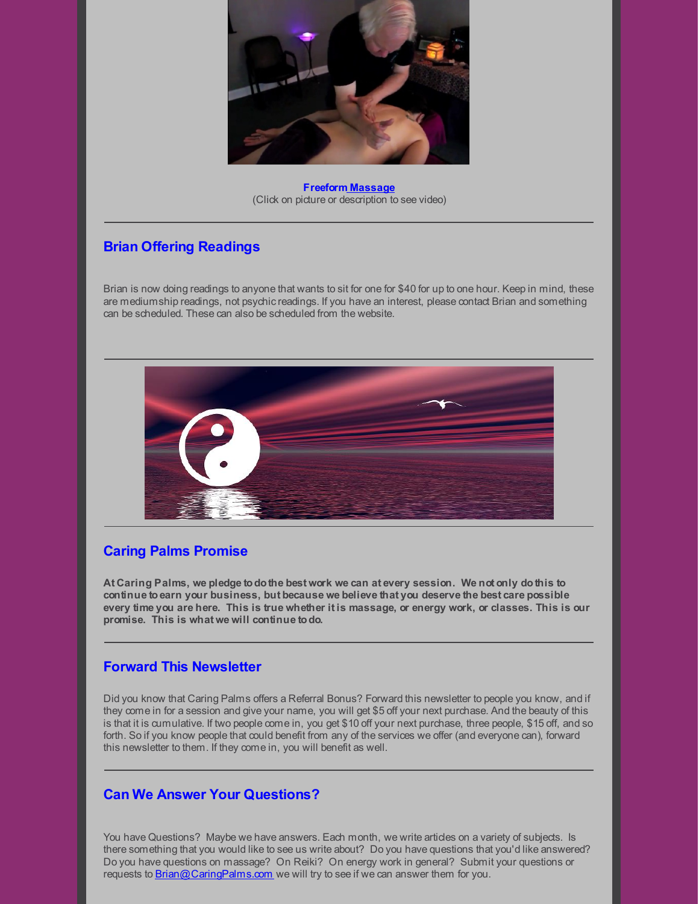

**Freeform [Massage](http://r20.rs6.net/tn.jsp?f=001CfRxCTirCvqtAaR_dWkcKgfgBmiJ9l9QMrFent0hiKfXTZn-1l0uQZI8oEW_9LTApqAIw7NEl_tD8ujxxcYxM2T5Xq1CpLCrL-FyzmtpxL2PSXXO_d52Fk4HNMTunxAAQvVpx35ocZlLTih3GO6jd6UsapxlNxuBRq6IGPt9M7rWxqtbbrYsVw==&c=&ch=)** (Click on picture or description to see video)

# **Brian Offering Readings**

Brian is now doing readings to anyone that wants to sit for one for \$40 for up to one hour. Keep in mind, these are mediumship readings, not psychic readings. If you have an interest, please contact Brian and something can be scheduled. These can also be scheduled from the website.



# **Caring Palms Promise**

**At Caring Palms, we pledge todothe best work we can at every session. We not only dothis to continue toearn your business, but because we believe that you deserve the best care possible** every time you are here. This is true whether it is massage, or energy work, or classes. This is our **promise. This is what we will continue todo.**

# **Forward This Newsletter**

Did you know that Caring Palms offers a Referral Bonus? Forward this newsletter to people you know, and if they come in for a session and give your name, you will get \$5 off your next purchase. And the beauty of this is that it is cumulative. If two people come in, you get \$10 off your next purchase, three people, \$15 off, and so forth. So if you know people that could benefit from any of the services we offer (and everyone can), forward this newsletter to them. If they come in, you will benefit as well.

# **Can We Answer Your Questions?**

You have Questions? Maybe we have answers. Each month, we write articles on a variety of subjects. Is there something that you would like to see us write about? Do you have questions that you'd like answered? Do you have questions on massage? On Reiki? On energy work in general? Submit your questions or requests to [Brian@CaringPalms.com](mailto:brian@caringpalms.com) we will try to see if we can answer them for you.